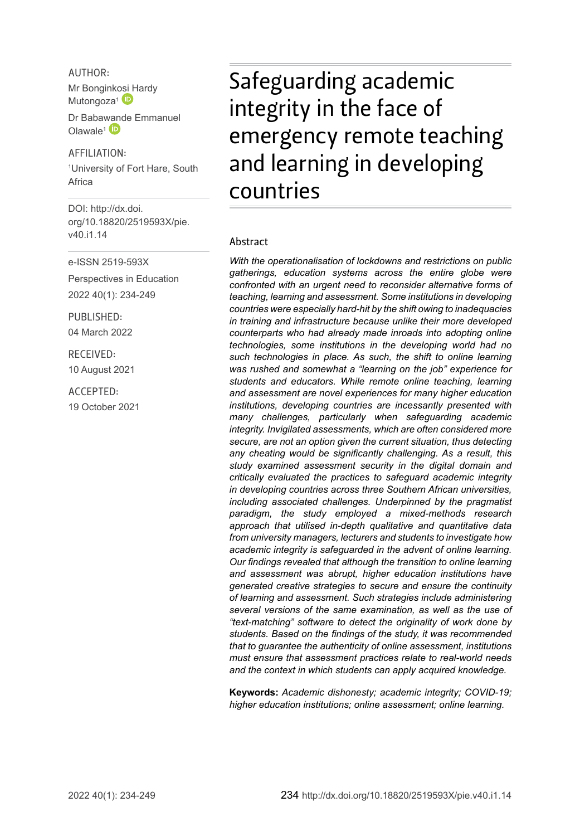AUTHOR: Mr Bongink[osi H](http://orcid.org/0000-0002-2939-1274)ardy Mutongoza<sup>1</sup>

Dr Baba[wand](http://orcid.org/0000-0001-5265-1583)e Emmanuel Olawale<sup>1</sup>

AFFILIATION: 1 University of Fort Hare, South Africa

DOI: [http://dx.doi.](http://dx.doi.org/10.18820/2519593X/pie.v40.i1.14) [org/10.18820/2519593X/p](http://dx.doi.org/10.18820/2519593X/pie.v40.i1.14)ie. v40 i1 14

e-ISSN 2519-593X

Perspectives in Education 2022 40(1): 234-249

PUBLISHED: 04 March 2022

RECEIVED: 10 August 2021

ACCEPTED: 19 October 2021 Safeguarding academic integrity in the face of emergency remote teaching and learning in developing countries

#### Abstract

*With the operationalisation of lockdowns and restrictions on public gatherings, education systems across the entire globe were confronted with an urgent need to reconsider alternative forms of teaching, learning and assessment. Some institutions in developing countries were especially hard-hit by the shift owing to inadequacies in training and infrastructure because unlike their more developed counterparts who had already made inroads into adopting online technologies, some institutions in the developing world had no such technologies in place. As such, the shift to online learning was rushed and somewhat a "learning on the job" experience for students and educators. While remote online teaching, learning and assessment are novel experiences for many higher education institutions, developing countries are incessantly presented with many challenges, particularly when safeguarding academic integrity. Invigilated assessments, which are often considered more secure, are not an option given the current situation, thus detecting any cheating would be significantly challenging. As a result, this study examined assessment security in the digital domain and critically evaluated the practices to safeguard academic integrity in developing countries across three Southern African universities, including associated challenges. Underpinned by the pragmatist paradigm, the study employed a mixed-methods research approach that utilised in-depth qualitative and quantitative data from university managers, lecturers and students to investigate how academic integrity is safeguarded in the advent of online learning. Our findings revealed that although the transition to online learning and assessment was abrupt, higher education institutions have generated creative strategies to secure and ensure the continuity of learning and assessment. Such strategies include administering several versions of the same examination, as well as the use of "text-matching" software to detect the originality of work done by students. Based on the findings of the study, it was recommended that to guarantee the authenticity of online assessment, institutions must ensure that assessment practices relate to real-world needs and the context in which students can apply acquired knowledge.*

**Keywords:** *Academic dishonesty; academic integrity; COVID-19; higher education institutions; online assessment; online learning.*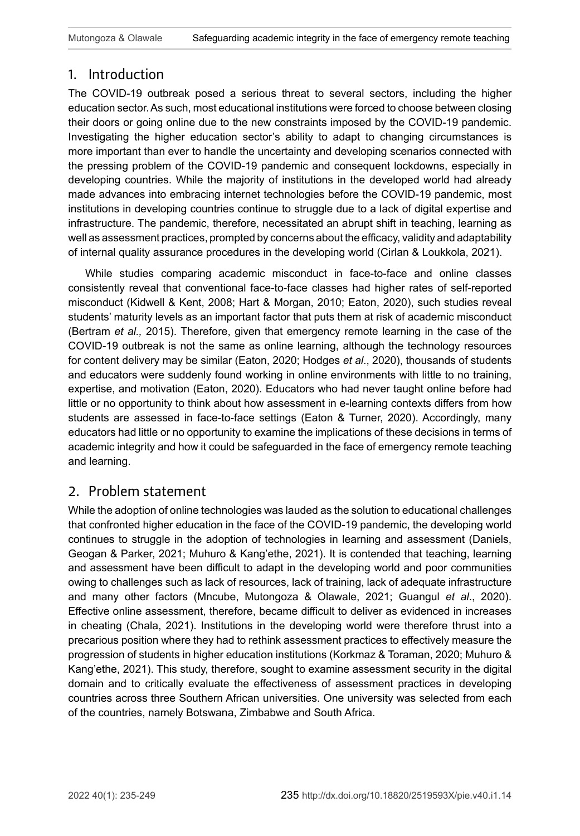# 1. Introduction

The COVID-19 outbreak posed a serious threat to several sectors, including the higher education sector. As such, most educational institutions were forced to choose between closing their doors or going online due to the new constraints imposed by the COVID-19 pandemic. Investigating the higher education sector's ability to adapt to changing circumstances is more important than ever to handle the uncertainty and developing scenarios connected with the pressing problem of the COVID-19 pandemic and consequent lockdowns, especially in developing countries. While the majority of institutions in the developed world had already made advances into embracing internet technologies before the COVID-19 pandemic, most institutions in developing countries continue to struggle due to a lack of digital expertise and infrastructure. The pandemic, therefore, necessitated an abrupt shift in teaching, learning as well as assessment practices, prompted by concerns about the efficacy, validity and adaptability of internal quality assurance procedures in the developing world (Cirlan & Loukkola, 2021).

While studies comparing academic misconduct in face-to-face and online classes consistently reveal that conventional face-to-face classes had higher rates of self-reported misconduct (Kidwell & Kent, 2008; Hart & Morgan, 2010; Eaton, 2020), such studies reveal students' maturity levels as an important factor that puts them at risk of academic misconduct (Bertram *et al.,* 2015). Therefore, given that emergency remote learning in the case of the COVID-19 outbreak is not the same as online learning, although the technology resources for content delivery may be similar (Eaton, 2020; Hodges *et al*., 2020), thousands of students and educators were suddenly found working in online environments with little to no training, expertise, and motivation (Eaton, 2020). Educators who had never taught online before had little or no opportunity to think about how assessment in e-learning contexts differs from how students are assessed in face-to-face settings (Eaton & Turner, 2020). Accordingly, many educators had little or no opportunity to examine the implications of these decisions in terms of academic integrity and how it could be safeguarded in the face of emergency remote teaching and learning.

## 2. Problem statement

While the adoption of online technologies was lauded as the solution to educational challenges that confronted higher education in the face of the COVID-19 pandemic, the developing world continues to struggle in the adoption of technologies in learning and assessment (Daniels, Geogan & Parker, 2021; Muhuro & Kang'ethe, 2021). It is contended that teaching, learning and assessment have been difficult to adapt in the developing world and poor communities owing to challenges such as lack of resources, lack of training, lack of adequate infrastructure and many other factors (Mncube, Mutongoza & Olawale, 2021; Guangul *et al*., 2020). Effective online assessment, therefore, became difficult to deliver as evidenced in increases in cheating (Chala, 2021). Institutions in the developing world were therefore thrust into a precarious position where they had to rethink assessment practices to effectively measure the progression of students in higher education institutions (Korkmaz & Toraman, 2020; Muhuro & Kang'ethe, 2021). This study, therefore, sought to examine assessment security in the digital domain and to critically evaluate the effectiveness of assessment practices in developing countries across three Southern African universities. One university was selected from each of the countries, namely Botswana, Zimbabwe and South Africa.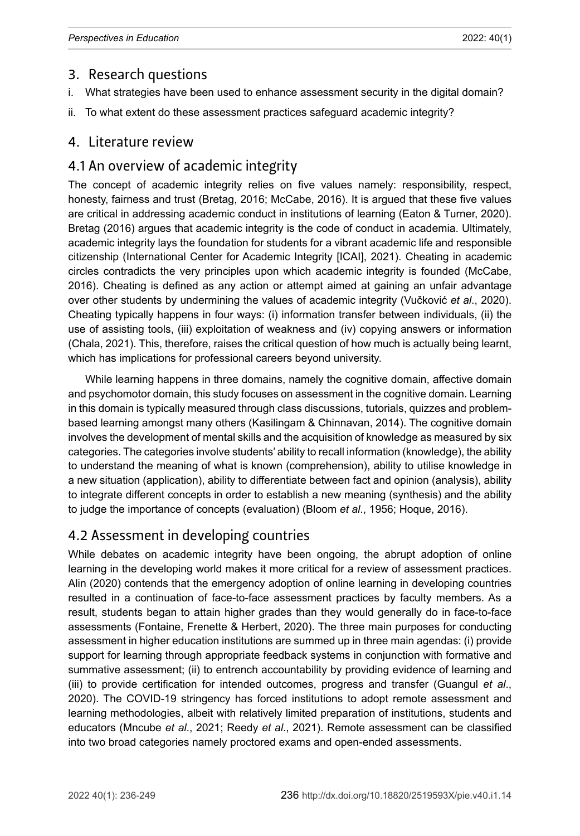#### 3. Research questions

- i. What strategies have been used to enhance assessment security in the digital domain?
- ii. To what extent do these assessment practices safeguard academic integrity?

#### 4. Literature review

## 4.1 An overview of academic integrity

The concept of academic integrity relies on five values namely: responsibility, respect, honesty, fairness and trust (Bretag, 2016; McCabe, 2016). It is argued that these five values are critical in addressing academic conduct in institutions of learning (Eaton & Turner, 2020). Bretag (2016) argues that academic integrity is the code of conduct in academia. Ultimately, academic integrity lays the foundation for students for a vibrant academic life and responsible citizenship (International Center for Academic Integrity [ICAI], 2021). Cheating in academic circles contradicts the very principles upon which academic integrity is founded (McCabe, 2016). Cheating is defined as any action or attempt aimed at gaining an unfair advantage over other students by undermining the values of academic integrity (Vučković *et al*., 2020). Cheating typically happens in four ways: (i) information transfer between individuals, (ii) the use of assisting tools, (iii) exploitation of weakness and (iv) copying answers or information (Chala, 2021). This, therefore, raises the critical question of how much is actually being learnt, which has implications for professional careers beyond university.

While learning happens in three domains, namely the cognitive domain, affective domain and psychomotor domain, this study focuses on assessment in the cognitive domain. Learning in this domain is typically measured through class discussions, tutorials, quizzes and problembased learning amongst many others (Kasilingam & Chinnavan, 2014). The cognitive domain involves the development of mental skills and the acquisition of knowledge as measured by six categories. The categories involve students' ability to recall information (knowledge), the ability to understand the meaning of what is known (comprehension), ability to utilise knowledge in a new situation (application), ability to differentiate between fact and opinion (analysis), ability to integrate different concepts in order to establish a new meaning (synthesis) and the ability to judge the importance of concepts (evaluation) (Bloom *et al*., 1956; Hoque, 2016).

# 4.2 Assessment in developing countries

While debates on academic integrity have been ongoing, the abrupt adoption of online learning in the developing world makes it more critical for a review of assessment practices. Alin (2020) contends that the emergency adoption of online learning in developing countries resulted in a continuation of face-to-face assessment practices by faculty members. As a result, students began to attain higher grades than they would generally do in face-to-face assessments (Fontaine, Frenette & Herbert, 2020). The three main purposes for conducting assessment in higher education institutions are summed up in three main agendas: (i) provide support for learning through appropriate feedback systems in conjunction with formative and summative assessment; (ii) to entrench accountability by providing evidence of learning and (iii) to provide certification for intended outcomes, progress and transfer (Guangul *et al*., 2020). The COVID-19 stringency has forced institutions to adopt remote assessment and learning methodologies, albeit with relatively limited preparation of institutions, students and educators (Mncube *et al*., 2021; Reedy *et al*., 2021). Remote assessment can be classified into two broad categories namely proctored exams and open-ended assessments.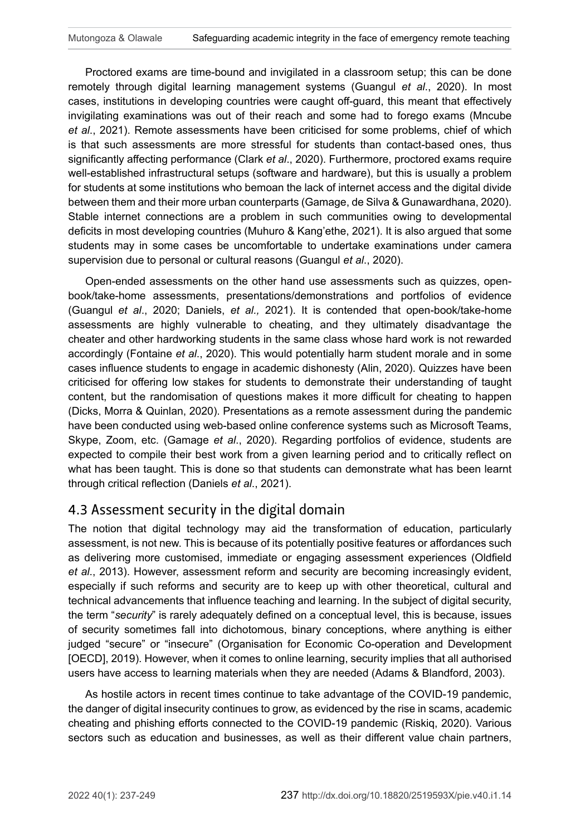Proctored exams are time-bound and invigilated in a classroom setup; this can be done remotely through digital learning management systems (Guangul *et al*., 2020). In most cases, institutions in developing countries were caught off-guard, this meant that effectively invigilating examinations was out of their reach and some had to forego exams (Mncube *et al*., 2021). Remote assessments have been criticised for some problems, chief of which is that such assessments are more stressful for students than contact-based ones, thus significantly affecting performance (Clark *et al*., 2020). Furthermore, proctored exams require well-established infrastructural setups (software and hardware), but this is usually a problem for students at some institutions who bemoan the lack of internet access and the digital divide between them and their more urban counterparts (Gamage, de Silva & Gunawardhana, 2020). Stable internet connections are a problem in such communities owing to developmental deficits in most developing countries (Muhuro & Kang'ethe, 2021). It is also argued that some students may in some cases be uncomfortable to undertake examinations under camera supervision due to personal or cultural reasons (Guangul *et al*., 2020).

Open-ended assessments on the other hand use assessments such as quizzes, openbook/take-home assessments, presentations/demonstrations and portfolios of evidence (Guangul *et al*., 2020; Daniels, *et al.,* 2021). It is contended that open-book/take-home assessments are highly vulnerable to cheating, and they ultimately disadvantage the cheater and other hardworking students in the same class whose hard work is not rewarded accordingly (Fontaine *et al*., 2020). This would potentially harm student morale and in some cases influence students to engage in academic dishonesty (Alin, 2020). Quizzes have been criticised for offering low stakes for students to demonstrate their understanding of taught content, but the randomisation of questions makes it more difficult for cheating to happen (Dicks, Morra & Quinlan, 2020). Presentations as a remote assessment during the pandemic have been conducted using web-based online conference systems such as Microsoft Teams, Skype, Zoom, etc. (Gamage *et al*., 2020). Regarding portfolios of evidence, students are expected to compile their best work from a given learning period and to critically reflect on what has been taught. This is done so that students can demonstrate what has been learnt through critical reflection (Daniels *et al*., 2021).

## 4.3 Assessment security in the digital domain

The notion that digital technology may aid the transformation of education, particularly assessment, is not new. This is because of its potentially positive features or affordances such as delivering more customised, immediate or engaging assessment experiences (Oldfield *et al*., 2013). However, assessment reform and security are becoming increasingly evident, especially if such reforms and security are to keep up with other theoretical, cultural and technical advancements that influence teaching and learning. In the subject of digital security, the term "*security*" is rarely adequately defined on a conceptual level, this is because, issues of security sometimes fall into dichotomous, binary conceptions, where anything is either judged "secure" or "insecure" (Organisation for Economic Co-operation and Development [OECD], 2019). However, when it comes to online learning, security implies that all authorised users have access to learning materials when they are needed (Adams & Blandford, 2003).

As hostile actors in recent times continue to take advantage of the COVID-19 pandemic, the danger of digital insecurity continues to grow, as evidenced by the rise in scams, academic cheating and phishing efforts connected to the COVID-19 pandemic (Riskiq, 2020). Various sectors such as education and businesses, as well as their different value chain partners,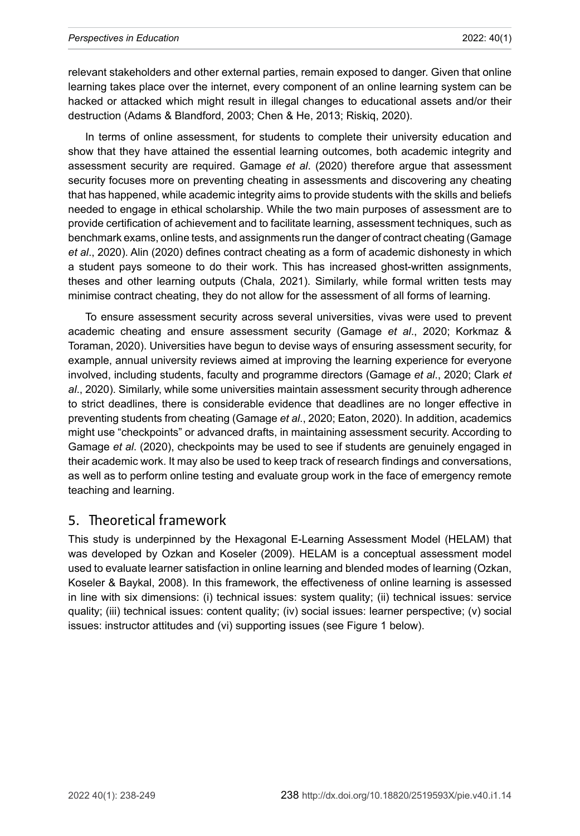relevant stakeholders and other external parties, remain exposed to danger. Given that online learning takes place over the internet, every component of an online learning system can be hacked or attacked which might result in illegal changes to educational assets and/or their destruction (Adams & Blandford, 2003; Chen & He, 2013; Riskiq, 2020).

In terms of online assessment, for students to complete their university education and show that they have attained the essential learning outcomes, both academic integrity and assessment security are required. Gamage *et al*. (2020) therefore argue that assessment security focuses more on preventing cheating in assessments and discovering any cheating that has happened, while academic integrity aims to provide students with the skills and beliefs needed to engage in ethical scholarship. While the two main purposes of assessment are to provide certification of achievement and to facilitate learning, assessment techniques, such as benchmark exams, online tests, and assignments run the danger of contract cheating (Gamage *et al*., 2020). Alin (2020) defines contract cheating as a form of academic dishonesty in which a student pays someone to do their work. This has increased ghost-written assignments, theses and other learning outputs (Chala, 2021). Similarly, while formal written tests may minimise contract cheating, they do not allow for the assessment of all forms of learning.

To ensure assessment security across several universities, vivas were used to prevent academic cheating and ensure assessment security (Gamage *et al*., 2020; Korkmaz & Toraman, 2020). Universities have begun to devise ways of ensuring assessment security, for example, annual university reviews aimed at improving the learning experience for everyone involved, including students, faculty and programme directors (Gamage *et al*., 2020; Clark *et al*., 2020). Similarly, while some universities maintain assessment security through adherence to strict deadlines, there is considerable evidence that deadlines are no longer effective in preventing students from cheating (Gamage *et al*., 2020; Eaton, 2020). In addition, academics might use "checkpoints" or advanced drafts, in maintaining assessment security. According to Gamage *et al*. (2020), checkpoints may be used to see if students are genuinely engaged in their academic work. It may also be used to keep track of research findings and conversations, as well as to perform online testing and evaluate group work in the face of emergency remote teaching and learning.

#### 5. Theoretical framework

This study is underpinned by the Hexagonal E-Learning Assessment Model (HELAM) that was developed by Ozkan and Koseler (2009). HELAM is a conceptual assessment model used to evaluate learner satisfaction in online learning and blended modes of learning (Ozkan, Koseler & Baykal, 2008). In this framework, the effectiveness of online learning is assessed in line with six dimensions: (i) technical issues: system quality; (ii) technical issues: service quality; (iii) technical issues: content quality; (iv) social issues: learner perspective; (v) social issues: instructor attitudes and (vi) supporting issues (see Figure 1 below).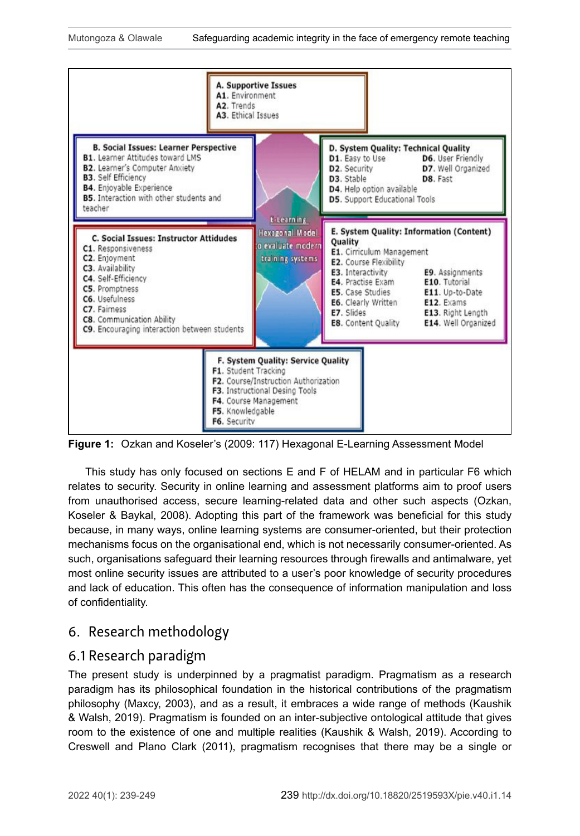

**Figure 1:** Ozkan and Koseler's (2009: 117) Hexagonal E-Learning Assessment Model

This study has only focused on sections E and F of HELAM and in particular F6 which relates to security. Security in online learning and assessment platforms aim to proof users from unauthorised access, secure learning-related data and other such aspects (Ozkan, Koseler & Baykal, 2008). Adopting this part of the framework was beneficial for this study because, in many ways, online learning systems are consumer-oriented, but their protection mechanisms focus on the organisational end, which is not necessarily consumer-oriented. As such, organisations safeguard their learning resources through firewalls and antimalware, yet most online security issues are attributed to a user's poor knowledge of security procedures and lack of education. This often has the consequence of information manipulation and loss of confidentiality.

## 6. Research methodology

#### 6.1 Research paradigm

The present study is underpinned by a pragmatist paradigm. Pragmatism as a research paradigm has its philosophical foundation in the historical contributions of the pragmatism philosophy (Maxcy, 2003), and as a result, it embraces a wide range of methods (Kaushik & Walsh, 2019). Pragmatism is founded on an inter-subjective ontological attitude that gives room to the existence of one and multiple realities (Kaushik & Walsh, 2019). According to Creswell and Plano Clark (2011), pragmatism recognises that there may be a single or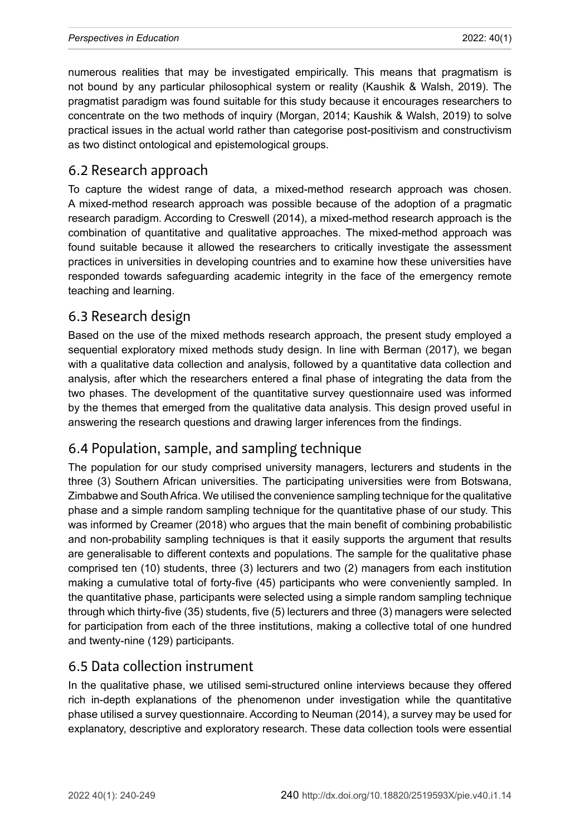numerous realities that may be investigated empirically. This means that pragmatism is not bound by any particular philosophical system or reality (Kaushik & Walsh, 2019). The pragmatist paradigm was found suitable for this study because it encourages researchers to concentrate on the two methods of inquiry (Morgan, 2014; Kaushik & Walsh, 2019) to solve practical issues in the actual world rather than categorise post-positivism and constructivism as two distinct ontological and epistemological groups.

#### 6.2 Research approach

To capture the widest range of data, a mixed-method research approach was chosen. A mixed-method research approach was possible because of the adoption of a pragmatic research paradigm. According to Creswell (2014), a mixed-method research approach is the combination of quantitative and qualitative approaches. The mixed-method approach was found suitable because it allowed the researchers to critically investigate the assessment practices in universities in developing countries and to examine how these universities have responded towards safeguarding academic integrity in the face of the emergency remote teaching and learning.

## 6.3 Research design

Based on the use of the mixed methods research approach, the present study employed a sequential exploratory mixed methods study design. In line with Berman (2017), we began with a qualitative data collection and analysis, followed by a quantitative data collection and analysis, after which the researchers entered a final phase of integrating the data from the two phases. The development of the quantitative survey questionnaire used was informed by the themes that emerged from the qualitative data analysis. This design proved useful in answering the research questions and drawing larger inferences from the findings.

## 6.4 Population, sample, and sampling technique

The population for our study comprised university managers, lecturers and students in the three (3) Southern African universities. The participating universities were from Botswana, Zimbabwe and South Africa. We utilised the convenience sampling technique for the qualitative phase and a simple random sampling technique for the quantitative phase of our study. This was informed by Creamer (2018) who argues that the main benefit of combining probabilistic and non-probability sampling techniques is that it easily supports the argument that results are generalisable to different contexts and populations. The sample for the qualitative phase comprised ten (10) students, three (3) lecturers and two (2) managers from each institution making a cumulative total of forty-five (45) participants who were conveniently sampled. In the quantitative phase, participants were selected using a simple random sampling technique through which thirty-five (35) students, five (5) lecturers and three (3) managers were selected for participation from each of the three institutions, making a collective total of one hundred and twenty-nine (129) participants.

## 6.5 Data collection instrument

In the qualitative phase, we utilised semi-structured online interviews because they offered rich in-depth explanations of the phenomenon under investigation while the quantitative phase utilised a survey questionnaire. According to Neuman (2014), a survey may be used for explanatory, descriptive and exploratory research. These data collection tools were essential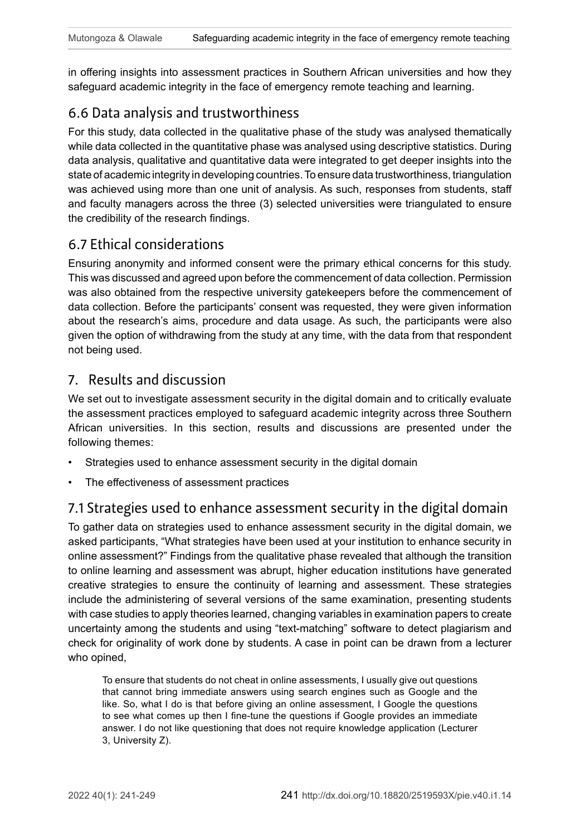in offering insights into assessment practices in Southern African universities and how they safeguard academic integrity in the face of emergency remote teaching and learning.

# 6.6 Data analysis and trustworthiness

For this study, data collected in the qualitative phase of the study was analysed thematically while data collected in the quantitative phase was analysed using descriptive statistics. During data analysis, qualitative and quantitative data were integrated to get deeper insights into the state of academic integrity in developing countries. To ensure data trustworthiness, triangulation was achieved using more than one unit of analysis. As such, responses from students, staff and faculty managers across the three (3) selected universities were triangulated to ensure the credibility of the research findings.

#### 6.7 Ethical considerations

Ensuring anonymity and informed consent were the primary ethical concerns for this study. This was discussed and agreed upon before the commencement of data collection. Permission was also obtained from the respective university gatekeepers before the commencement of data collection. Before the participants' consent was requested, they were given information about the research's aims, procedure and data usage. As such, the participants were also given the option of withdrawing from the study at any time, with the data from that respondent not being used.

#### 7. Results and discussion

We set out to investigate assessment security in the digital domain and to critically evaluate the assessment practices employed to safeguard academic integrity across three Southern African universities. In this section, results and discussions are presented under the following themes:

- Strategies used to enhance assessment security in the digital domain
- The effectiveness of assessment practices

## 7.1 Strategies used to enhance assessment security in the digital domain

To gather data on strategies used to enhance assessment security in the digital domain, we asked participants, "What strategies have been used at your institution to enhance security in online assessment?" Findings from the qualitative phase revealed that although the transition to online learning and assessment was abrupt, higher education institutions have generated creative strategies to ensure the continuity of learning and assessment. These strategies include the administering of several versions of the same examination, presenting students with case studies to apply theories learned, changing variables in examination papers to create uncertainty among the students and using "text-matching" software to detect plagiarism and check for originality of work done by students. A case in point can be drawn from a lecturer who opined,

To ensure that students do not cheat in online assessments, I usually give out questions that cannot bring immediate answers using search engines such as Google and the like. So, what I do is that before giving an online assessment, I Google the questions to see what comes up then I fine-tune the questions if Google provides an immediate answer. I do not like questioning that does not require knowledge application (Lecturer 3, University Z).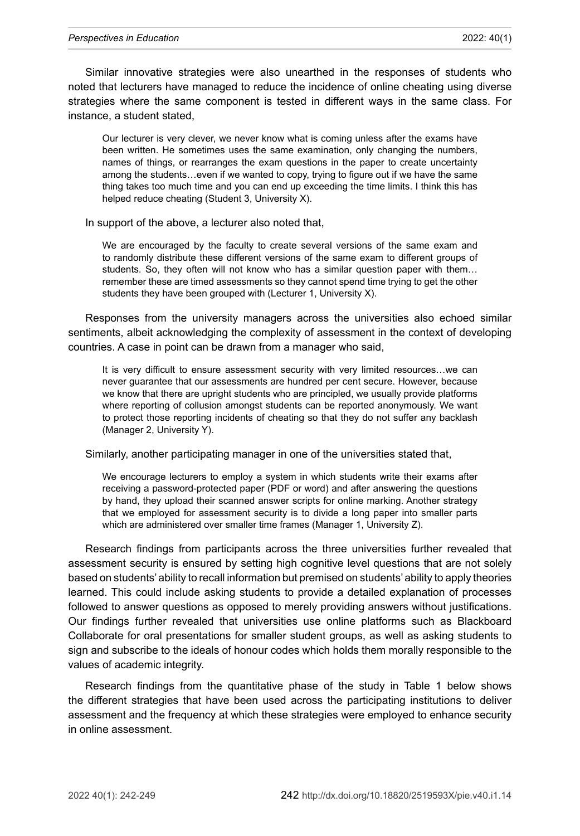Similar innovative strategies were also unearthed in the responses of students who noted that lecturers have managed to reduce the incidence of online cheating using diverse strategies where the same component is tested in different ways in the same class. For instance, a student stated,

Our lecturer is very clever, we never know what is coming unless after the exams have been written. He sometimes uses the same examination, only changing the numbers, names of things, or rearranges the exam questions in the paper to create uncertainty among the students…even if we wanted to copy, trying to figure out if we have the same thing takes too much time and you can end up exceeding the time limits. I think this has helped reduce cheating (Student 3, University X).

In support of the above, a lecturer also noted that,

We are encouraged by the faculty to create several versions of the same exam and to randomly distribute these different versions of the same exam to different groups of students. So, they often will not know who has a similar question paper with them… remember these are timed assessments so they cannot spend time trying to get the other students they have been grouped with (Lecturer 1, University X).

Responses from the university managers across the universities also echoed similar sentiments, albeit acknowledging the complexity of assessment in the context of developing countries. A case in point can be drawn from a manager who said,

It is very difficult to ensure assessment security with very limited resources...we can never guarantee that our assessments are hundred per cent secure. However, because we know that there are upright students who are principled, we usually provide platforms where reporting of collusion amongst students can be reported anonymously. We want to protect those reporting incidents of cheating so that they do not suffer any backlash (Manager 2, University Y).

Similarly, another participating manager in one of the universities stated that,

We encourage lecturers to employ a system in which students write their exams after receiving a password-protected paper (PDF or word) and after answering the questions by hand, they upload their scanned answer scripts for online marking. Another strategy that we employed for assessment security is to divide a long paper into smaller parts which are administered over smaller time frames (Manager 1, University Z).

Research findings from participants across the three universities further revealed that assessment security is ensured by setting high cognitive level questions that are not solely based on students' ability to recall information but premised on students' ability to apply theories learned. This could include asking students to provide a detailed explanation of processes followed to answer questions as opposed to merely providing answers without justifications. Our findings further revealed that universities use online platforms such as Blackboard Collaborate for oral presentations for smaller student groups, as well as asking students to sign and subscribe to the ideals of honour codes which holds them morally responsible to the values of academic integrity.

Research findings from the quantitative phase of the study in Table 1 below shows the different strategies that have been used across the participating institutions to deliver assessment and the frequency at which these strategies were employed to enhance security in online assessment.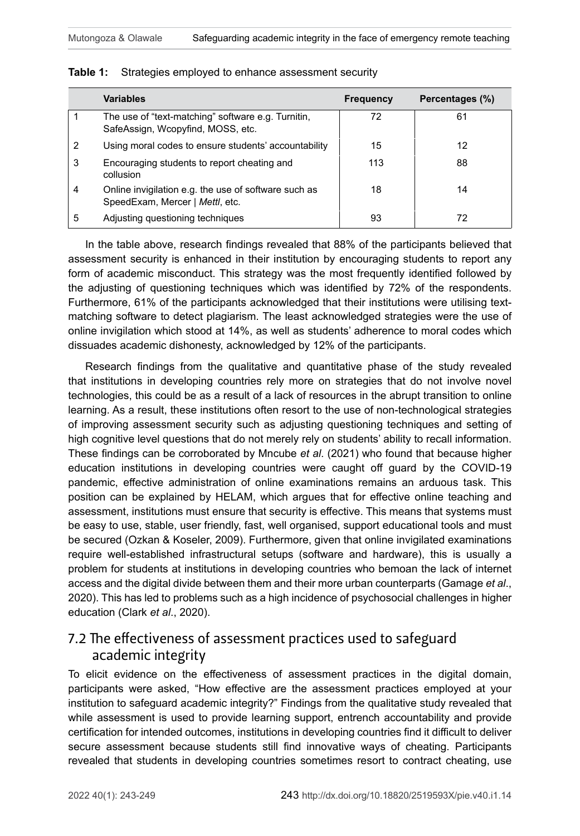|   | <b>Variables</b>                                                                        | <b>Frequency</b> | Percentages (%) |
|---|-----------------------------------------------------------------------------------------|------------------|-----------------|
|   | The use of "text-matching" software e.g. Turnitin,<br>SafeAssign, Wcopyfind, MOSS, etc. | 72               | 61              |
| 2 | Using moral codes to ensure students' accountability                                    | 15               | 12              |
| 3 | Encouraging students to report cheating and<br>collusion                                | 113              | 88              |
| 4 | Online invigilation e.g. the use of software such as<br>SpeedExam, Mercer   Mettl, etc. | 18               | 14              |
| 5 | Adjusting questioning techniques                                                        | 93               | 72              |

#### **Table 1:** Strategies employed to enhance assessment security

In the table above, research findings revealed that 88% of the participants believed that assessment security is enhanced in their institution by encouraging students to report any form of academic misconduct. This strategy was the most frequently identified followed by the adjusting of questioning techniques which was identified by 72% of the respondents. Furthermore, 61% of the participants acknowledged that their institutions were utilising textmatching software to detect plagiarism. The least acknowledged strategies were the use of online invigilation which stood at 14%, as well as students' adherence to moral codes which dissuades academic dishonesty, acknowledged by 12% of the participants.

Research findings from the qualitative and quantitative phase of the study revealed that institutions in developing countries rely more on strategies that do not involve novel technologies, this could be as a result of a lack of resources in the abrupt transition to online learning. As a result, these institutions often resort to the use of non-technological strategies of improving assessment security such as adjusting questioning techniques and setting of high cognitive level questions that do not merely rely on students' ability to recall information. These findings can be corroborated by Mncube *et al*. (2021) who found that because higher education institutions in developing countries were caught off guard by the COVID-19 pandemic, effective administration of online examinations remains an arduous task. This position can be explained by HELAM, which argues that for effective online teaching and assessment, institutions must ensure that security is effective. This means that systems must be easy to use, stable, user friendly, fast, well organised, support educational tools and must be secured (Ozkan & Koseler, 2009). Furthermore, given that online invigilated examinations require well-established infrastructural setups (software and hardware), this is usually a problem for students at institutions in developing countries who bemoan the lack of internet access and the digital divide between them and their more urban counterparts (Gamage *et al*., 2020). This has led to problems such as a high incidence of psychosocial challenges in higher education (Clark *et al*., 2020).

# 7.2 The effectiveness of assessment practices used to safeguard academic integrity

To elicit evidence on the effectiveness of assessment practices in the digital domain, participants were asked, "How effective are the assessment practices employed at your institution to safeguard academic integrity?" Findings from the qualitative study revealed that while assessment is used to provide learning support, entrench accountability and provide certification for intended outcomes, institutions in developing countries find it difficult to deliver secure assessment because students still find innovative ways of cheating. Participants revealed that students in developing countries sometimes resort to contract cheating, use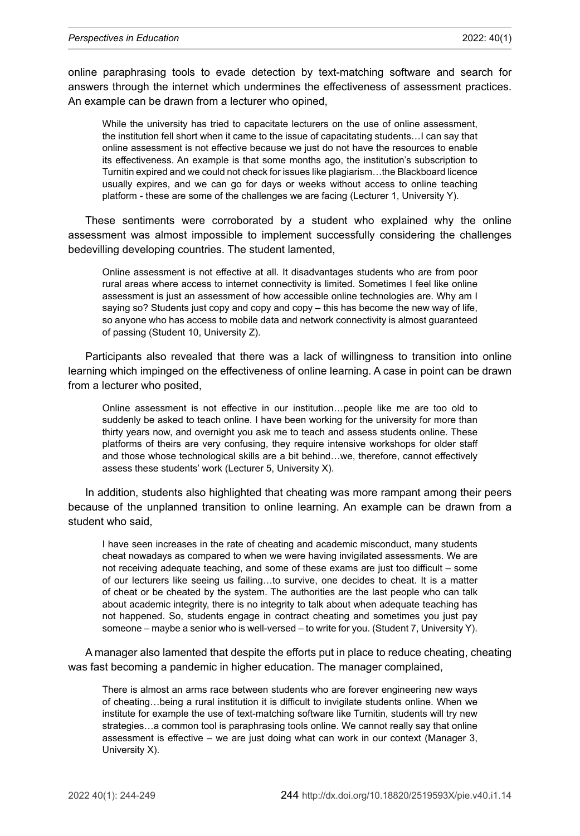online paraphrasing tools to evade detection by text-matching software and search for answers through the internet which undermines the effectiveness of assessment practices. An example can be drawn from a lecturer who opined,

While the university has tried to capacitate lecturers on the use of online assessment, the institution fell short when it came to the issue of capacitating students…I can say that online assessment is not effective because we just do not have the resources to enable its effectiveness. An example is that some months ago, the institution's subscription to Turnitin expired and we could not check for issues like plagiarism…the Blackboard licence usually expires, and we can go for days or weeks without access to online teaching platform - these are some of the challenges we are facing (Lecturer 1, University Y).

These sentiments were corroborated by a student who explained why the online assessment was almost impossible to implement successfully considering the challenges bedevilling developing countries. The student lamented,

Online assessment is not effective at all. It disadvantages students who are from poor rural areas where access to internet connectivity is limited. Sometimes I feel like online assessment is just an assessment of how accessible online technologies are. Why am I saying so? Students just copy and copy and copy – this has become the new way of life, so anyone who has access to mobile data and network connectivity is almost guaranteed of passing (Student 10, University Z).

Participants also revealed that there was a lack of willingness to transition into online learning which impinged on the effectiveness of online learning. A case in point can be drawn from a lecturer who posited,

Online assessment is not effective in our institution…people like me are too old to suddenly be asked to teach online. I have been working for the university for more than thirty years now, and overnight you ask me to teach and assess students online. These platforms of theirs are very confusing, they require intensive workshops for older staff and those whose technological skills are a bit behind…we, therefore, cannot effectively assess these students' work (Lecturer 5, University X).

In addition, students also highlighted that cheating was more rampant among their peers because of the unplanned transition to online learning. An example can be drawn from a student who said,

I have seen increases in the rate of cheating and academic misconduct, many students cheat nowadays as compared to when we were having invigilated assessments. We are not receiving adequate teaching, and some of these exams are just too difficult – some of our lecturers like seeing us failing…to survive, one decides to cheat. It is a matter of cheat or be cheated by the system. The authorities are the last people who can talk about academic integrity, there is no integrity to talk about when adequate teaching has not happened. So, students engage in contract cheating and sometimes you just pay someone – maybe a senior who is well-versed – to write for you. (Student 7, University Y).

A manager also lamented that despite the efforts put in place to reduce cheating, cheating was fast becoming a pandemic in higher education. The manager complained,

There is almost an arms race between students who are forever engineering new ways of cheating…being a rural institution it is difficult to invigilate students online. When we institute for example the use of text-matching software like Turnitin, students will try new strategies…a common tool is paraphrasing tools online. We cannot really say that online assessment is effective – we are just doing what can work in our context (Manager 3, University X).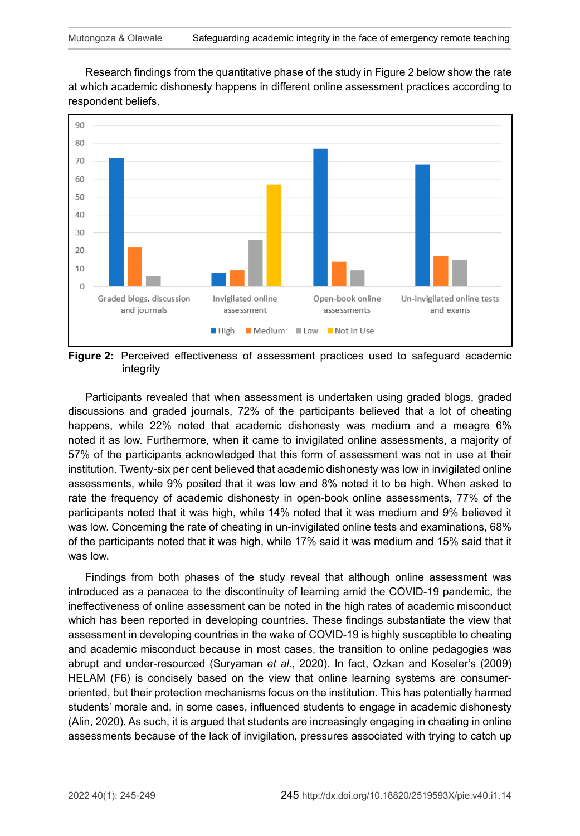Research findings from the quantitative phase of the study in Figure 2 below show the rate at which academic dishonesty happens in different online assessment practices according to respondent beliefs.



**Figure 2:** Perceived effectiveness of assessment practices used to safeguard academic integrity

Participants revealed that when assessment is undertaken using graded blogs, graded discussions and graded journals, 72% of the participants believed that a lot of cheating happens, while 22% noted that academic dishonesty was medium and a meagre 6% noted it as low. Furthermore, when it came to invigilated online assessments, a majority of 57% of the participants acknowledged that this form of assessment was not in use at their institution. Twenty-six per cent believed that academic dishonesty was low in invigilated online assessments, while 9% posited that it was low and 8% noted it to be high. When asked to rate the frequency of academic dishonesty in open-book online assessments, 77% of the participants noted that it was high, while 14% noted that it was medium and 9% believed it was low. Concerning the rate of cheating in un-invigilated online tests and examinations, 68% of the participants noted that it was high, while 17% said it was medium and 15% said that it was low.

Findings from both phases of the study reveal that although online assessment was introduced as a panacea to the discontinuity of learning amid the COVID-19 pandemic, the ineffectiveness of online assessment can be noted in the high rates of academic misconduct which has been reported in developing countries. These findings substantiate the view that assessment in developing countries in the wake of COVID-19 is highly susceptible to cheating and academic misconduct because in most cases, the transition to online pedagogies was abrupt and under-resourced (Suryaman *et al*., 2020). In fact, Ozkan and Koseler's (2009) HELAM (F6) is concisely based on the view that online learning systems are consumeroriented, but their protection mechanisms focus on the institution. This has potentially harmed students' morale and, in some cases, influenced students to engage in academic dishonesty (Alin, 2020). As such, it is argued that students are increasingly engaging in cheating in online assessments because of the lack of invigilation, pressures associated with trying to catch up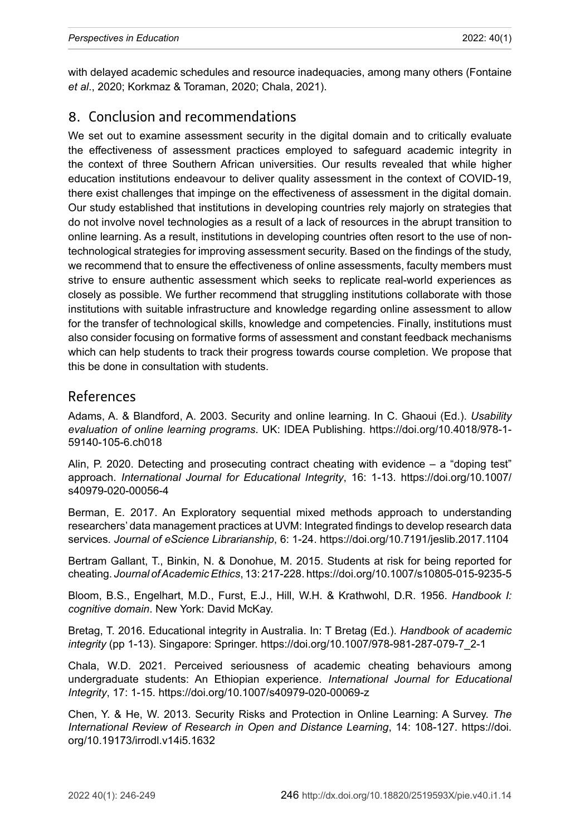with delayed academic schedules and resource inadequacies, among many others (Fontaine *et al*., 2020; Korkmaz & Toraman, 2020; Chala, 2021).

## 8. Conclusion and recommendations

We set out to examine assessment security in the digital domain and to critically evaluate the effectiveness of assessment practices employed to safeguard academic integrity in the context of three Southern African universities. Our results revealed that while higher education institutions endeavour to deliver quality assessment in the context of COVID-19, there exist challenges that impinge on the effectiveness of assessment in the digital domain. Our study established that institutions in developing countries rely majorly on strategies that do not involve novel technologies as a result of a lack of resources in the abrupt transition to online learning. As a result, institutions in developing countries often resort to the use of nontechnological strategies for improving assessment security. Based on the findings of the study, we recommend that to ensure the effectiveness of online assessments, faculty members must strive to ensure authentic assessment which seeks to replicate real-world experiences as closely as possible. We further recommend that struggling institutions collaborate with those institutions with suitable infrastructure and knowledge regarding online assessment to allow for the transfer of technological skills, knowledge and competencies. Finally, institutions must also consider focusing on formative forms of assessment and constant feedback mechanisms which can help students to track their progress towards course completion. We propose that this be done in consultation with students.

#### References

Adams, A. & Blandford, A. 2003. Security and online learning. In C. Ghaoui (Ed.). *Usability evaluation of online learning programs*. UK: IDEA Publishing. [https://doi.org/10.4018/978-1-](https://doi.org/10.4018/978-1-59140-105-6.ch018) [59140-105-6.ch018](https://doi.org/10.4018/978-1-59140-105-6.ch018)

Alin, P. 2020. Detecting and prosecuting contract cheating with evidence – a "doping test" approach. *International Journal for Educational Integrity*, 16: 1-13. [https://doi.org/10.1007/](https://doi.org/10.1007/s40979-020-00056-4) [s40979-020-00056-4](https://doi.org/10.1007/s40979-020-00056-4)

Berman, E. 2017. An Exploratory sequential mixed methods approach to understanding researchers' data management practices at UVM: Integrated findings to develop research data services. *Journal of eScience Librarianship*, 6: 1-24. <https://doi.org/10.7191/jeslib.2017.1104>

Bertram Gallant, T., Binkin, N. & Donohue, M. 2015. Students at risk for being reported for cheating. *Journal of Academic Ethics*, 13: 217-228.<https://doi.org/10.1007/s10805-015-9235-5>

Bloom, B.S., Engelhart, M.D., Furst, E.J., Hill, W.H. & Krathwohl, D.R. 1956. *Handbook I: cognitive domain*. New York: David McKay.

Bretag, T. 2016. Educational integrity in Australia. In: T Bretag (Ed.). *Handbook of academic integrity* (pp 1-13). Singapore: Springer. [https://doi.org/10.1007/978-981-287-079-7\\_2-1](https://doi.org/10.1007/978-981-287-079-7_2-1)

Chala, W.D. 2021. Perceived seriousness of academic cheating behaviours among undergraduate students: An Ethiopian experience. *International Journal for Educational Integrity*, 17: 1-15. <https://doi.org/10.1007/s40979-020-00069-z>

Chen, Y. & He, W. 2013. Security Risks and Protection in Online Learning: A Survey. *The International Review of Research in Open and Distance Learning*, 14: 108-127. [https://doi.](https://doi.org/10.19173/irrodl.v14i5.1632) [org/10.19173/irrodl.v14i5.1632](https://doi.org/10.19173/irrodl.v14i5.1632)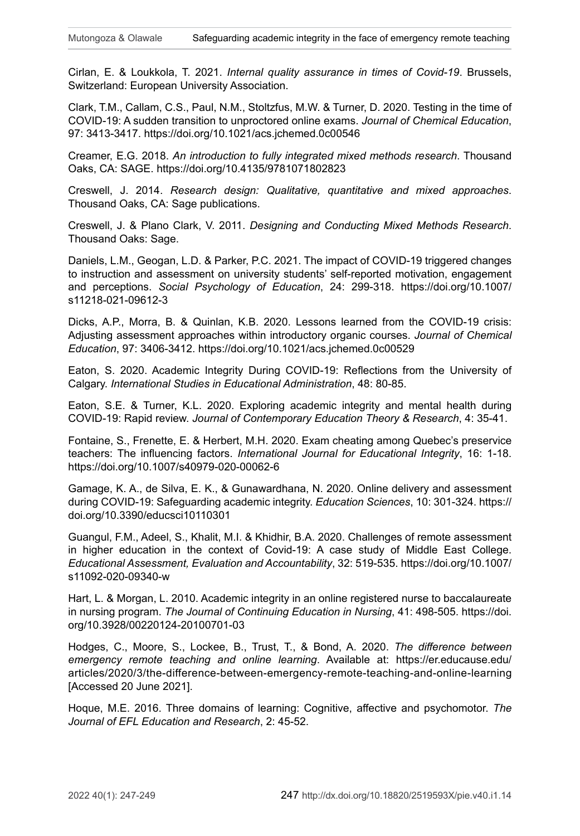Cirlan, E. & Loukkola, T. 2021. *Internal quality assurance in times of Covid-19*. Brussels, Switzerland: European University Association.

Clark, T.M., Callam, C.S., Paul, N.M., Stoltzfus, M.W. & Turner, D. 2020. Testing in the time of COVID-19: A sudden transition to unproctored online exams. *Journal of Chemical Education*, 97: 3413-3417. <https://doi.org/10.1021/acs.jchemed.0c00546>

Creamer, E.G. 2018. *An introduction to fully integrated mixed methods research*. Thousand Oaks, CA: SAGE.<https://doi.org/10.4135/9781071802823>

Creswell, J. 2014. *Research design: Qualitative, quantitative and mixed approaches*. Thousand Oaks, CA: Sage publications.

Creswell, J. & Plano Clark, V. 2011. *Designing and Conducting Mixed Methods Research*. Thousand Oaks: Sage.

Daniels, L.M., Geogan, L.D. & Parker, P.C. 2021. The impact of COVID-19 triggered changes to instruction and assessment on university students' self-reported motivation, engagement and perceptions. *Social Psychology of Education*, 24: 299-318. [https://doi.org/10.1007/](https://doi.org/10.1007/s11218-021-09612-3) [s11218-021-09612-3](https://doi.org/10.1007/s11218-021-09612-3)

Dicks, A.P., Morra, B. & Quinlan, K.B. 2020. Lessons learned from the COVID-19 crisis: Adjusting assessment approaches within introductory organic courses. *Journal of Chemical Education*, 97: 3406-3412. <https://doi.org/10.1021/acs.jchemed.0c00529>

Eaton, S. 2020. Academic Integrity During COVID-19: Reflections from the University of Calgary. *International Studies in Educational Administration*, 48: 80-85.

Eaton, S.E. & Turner, K.L. 2020. Exploring academic integrity and mental health during COVID-19: Rapid review. *Journal of Contemporary Education Theory & Research*, 4: 35-41.

Fontaine, S., Frenette, E. & Herbert, M.H. 2020. Exam cheating among Quebec's preservice teachers: The influencing factors. *International Journal for Educational Integrity*, 16: 1-18. <https://doi.org/10.1007/s40979-020-00062-6>

Gamage, K. A., de Silva, E. K., & Gunawardhana, N. 2020. Online delivery and assessment during COVID-19: Safeguarding academic integrity. *Education Sciences*, 10: 301-324. [https://](https://doi.org/10.3390/educsci10110301) [doi.org/10.3390/educsci10110301](https://doi.org/10.3390/educsci10110301)

Guangul, F.M., Adeel, S., Khalit, M.I. & Khidhir, B.A. 2020. Challenges of remote assessment in higher education in the context of Covid-19: A case study of Middle East College. *Educational Assessment, Evaluation and Accountability*, 32: 519-535. [https://doi.org/10.1007/](https://doi.org/10.1007/s11092-020-09340-w) [s11092-020-09340-w](https://doi.org/10.1007/s11092-020-09340-w)

Hart, L. & Morgan, L. 2010. Academic integrity in an online registered nurse to baccalaureate in nursing program. *The Journal of Continuing Education in Nursing*, 41: 498-505. [https://doi.](https://doi.org/10.3928/00220124-20100701-03) [org/10.3928/00220124-20100701-03](https://doi.org/10.3928/00220124-20100701-03)

Hodges, C., Moore, S., Lockee, B., Trust, T., & Bond, A. 2020. *The difference between emergency remote teaching and online learning*. Available at: [https://er.educause.edu/](https://er.educause.edu/articles/2020/3/the-difference-between-emergency-remote-teaching-and-online-learning) [articles/2020/3/the-difference-between-emergency-remote-teaching-and-online-learning](https://er.educause.edu/articles/2020/3/the-difference-between-emergency-remote-teaching-and-online-learning) [Accessed 20 June 2021].

Hoque, M.E. 2016. Three domains of learning: Cognitive, affective and psychomotor. *The Journal of EFL Education and Research*, 2: 45-52.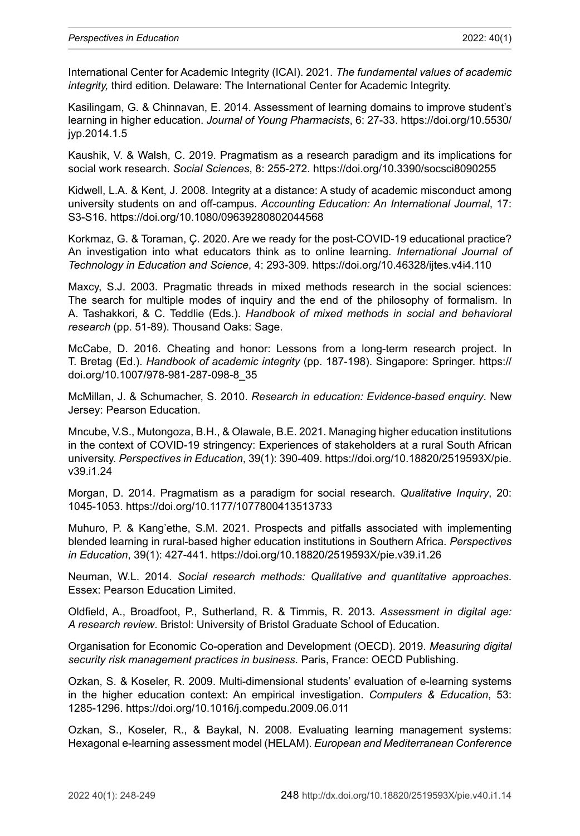International Center for Academic Integrity (ICAI). 2021*. The fundamental values of academic integrity,* third edition. Delaware: The International Center for Academic Integrity.

Kasilingam, G. & Chinnavan, E. 2014. Assessment of learning domains to improve student's learning in higher education. *Journal of Young Pharmacists*, 6: 27-33. [https://doi.org/10.5530/](https://doi.org/10.5530/jyp.2014.1.5) [jyp.2014.1.5](https://doi.org/10.5530/jyp.2014.1.5)

Kaushik, V. & Walsh, C. 2019. Pragmatism as a research paradigm and its implications for social work research. *Social Sciences*, 8: 255-272.<https://doi.org/10.3390/socsci8090255>

Kidwell, L.A. & Kent, J. 2008. Integrity at a distance: A study of academic misconduct among university students on and off-campus. *Accounting Education: An International Journal*, 17: S3-S16. <https://doi.org/10.1080/09639280802044568>

Korkmaz, G. & Toraman, Ç. 2020. Are we ready for the post-COVID-19 educational practice? An investigation into what educators think as to online learning. *International Journal of Technology in Education and Science*, 4: 293-309. <https://doi.org/10.46328/ijtes.v4i4.110>

Maxcy, S.J. 2003. Pragmatic threads in mixed methods research in the social sciences: The search for multiple modes of inquiry and the end of the philosophy of formalism. In A. Tashakkori, & C. Teddlie (Eds.). *Handbook of mixed methods in social and behavioral research* (pp. 51-89). Thousand Oaks: Sage.

McCabe, D. 2016. Cheating and honor: Lessons from a long-term research project. In T. Bretag (Ed.). *Handbook of academic integrity* (pp. 187-198). Singapore: Springer. [https://](https://doi.org/10.1007/978-981-287-098-8_35) [doi.org/10.1007/978-981-287-098-8\\_35](https://doi.org/10.1007/978-981-287-098-8_35)

McMillan, J. & Schumacher, S. 2010. *Research in education: Evidence-based enquiry*. New Jersey: Pearson Education.

Mncube, V.S., Mutongoza, B.H., & Olawale, B.E. 2021. Managing higher education institutions in the context of COVID-19 stringency: Experiences of stakeholders at a rural South African university. *Perspectives in Education*, 39(1): 390-409. [https://doi.org/10.18820/2519593X/pie.](https://doi.org/10.18820/2519593X/pie.v39.i1.24) [v39.i1.24](https://doi.org/10.18820/2519593X/pie.v39.i1.24)

Morgan, D. 2014. Pragmatism as a paradigm for social research. *Qualitative Inquiry*, 20: 1045-1053. <https://doi.org/10.1177/1077800413513733>

Muhuro, P. & Kang'ethe, S.M. 2021. Prospects and pitfalls associated with implementing blended learning in rural-based higher education institutions in Southern Africa. *Perspectives in Education*, 39(1): 427-441.<https://doi.org/10.18820/2519593X/pie.v39.i1.26>

Neuman, W.L. 2014. *Social research methods: Qualitative and quantitative approaches*. Essex: Pearson Education Limited.

Oldfield, A., Broadfoot, P., Sutherland, R. & Timmis, R. 2013. *Assessment in digital age: A research review*. Bristol: University of Bristol Graduate School of Education.

Organisation for Economic Co-operation and Development (OECD). 2019. *Measuring digital security risk management practices in business*. Paris, France: OECD Publishing.

Ozkan, S. & Koseler, R. 2009. Multi-dimensional students' evaluation of e-learning systems in the higher education context: An empirical investigation. *Computers & Education*, 53: 1285-1296. <https://doi.org/10.1016/j.compedu.2009.06.011>

Ozkan, S., Koseler, R., & Baykal, N. 2008. Evaluating learning management systems: Hexagonal e-learning assessment model (HELAM). *European and Mediterranean Conference*